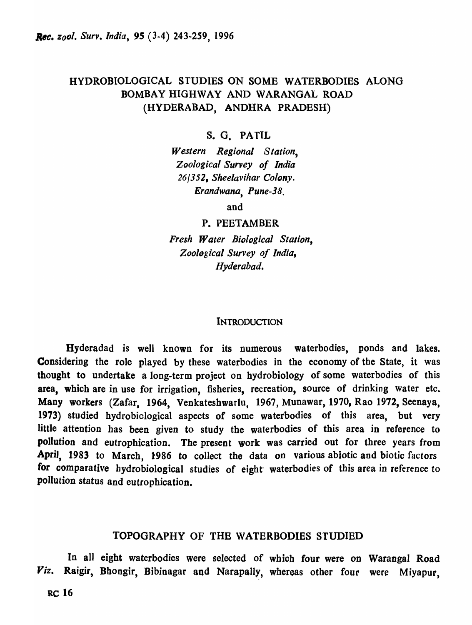# HYDROBIOLOGICAL STUDIES ON SOME WATERBODIES ALONG BOMBAY HIGHWAY AND WARANGAL ROAD (HYDERABAD, ANDHRA PRADESH)

# s. G. PATIL

*Western Regional Station, Zoological Survey of India 26/352, Sheelavihar Colony. Erandwana, Pune-38.* 

and

#### P. PEETAMBER

*Fresh Water Biological Station, Zoo log ical Survey of India, Hyderabad.* 

#### **INTRODUCTION**

Hyderadad is well known for its numerous waterbodies, ponds and lakes. Considering the role played by these waterbodies in the economy of the State, it was thought to undertake a long-term project on hydrobiology of some waterbodies of this area, which are in use for irrigation, fisheries, recreation, source of drinking water etc. Many workers (Zafar, 1964, Venkateshwarlu, 1967, Munawar, 1970, Rao 1972, Seenaya, 1973) studied hydrobiological aspects of some waterbodies of this area, but very little attention has been given to study the waterbodies of this area in reference to pollution and eutrophication. The present work was carried out for three years from April, 1983 to March, 1986 to collect the data on various abiotic and biotic factors for comparative hydrobiological studies of eight waterbodies of this area in reference to pollution status and eutrophication.

### TOPOGRAPHY OF THE WATERBODIES STUDIED

In all eight waterbodies were selected of which four were on Warangal Road *Viz.* Raigir, Bhongir, Bibinagar and Narapally, whereas other four were Miyapur,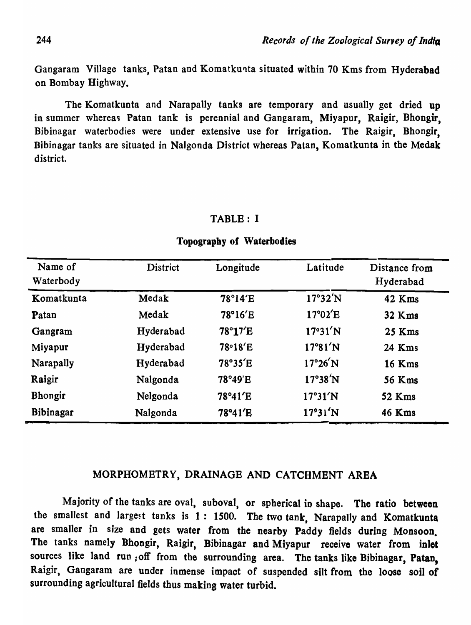Gangaram Village tanks, Patan and Komatkunta situated within 70 Kms from Hyderabad on Bombay Highway.

The Komatkunta and Narapally tanks are temporary and usually get dried up in summer whereas Patan tank is perennial and Gangaram, Miyapur, Raigir, Bhongir, Bibinagar waterbodies were under extensive use for irrigation. The Raigir. Bhongir, Bibinagar tanks are situated in Nalgonda District whereas Patao, Komatkunta in the Medak district.

#### TABLE: I

| Name of<br>Waterbody | <b>District</b> | Longitude | Latitude          | Distance from<br>Hyderabad |
|----------------------|-----------------|-----------|-------------------|----------------------------|
| Komatkunta           | Medak           | 78°14'E   | $17^\circ 32' N$  | 42 Kms                     |
| Patan                | Medak           | 78°16'E   | $17^{\circ}02'E$  | 32 Kms                     |
| Gangram              | Hyderabad       | 78°17'E   | 17°31'N           | 25 Kms                     |
| Miyapur              | Hyderabad       | 78°18'E   | $17^{\circ}81'$ N | 24 Kms                     |
| Narapally            | Hyderabad       | 78°35'E   | $17^{\circ}26'$ N | <b>16 Kms</b>              |
| Raigir               | Nalgonda        | 78°49'E   | $17^\circ 38' N$  | <b>56 Kms</b>              |
| Bhongir              | Nelgonda        | 78°41'E   | 17°31'N           | 52 Kms                     |
| Bibinagar            | Nalgonda        | 78°41'E   | 17°31'N           | 46 Kms                     |

#### Topography of Waterbodies

## MORPHOMETRY, DRAINAGE AND CATCHMENT AREA

Majority of the tanks are oval, suboval, or spherical in shape. The ratio between the smallest and largest tanks is  $1: 1500$ . The two tank, Narapally and Komatkunta are smaller in size and gets water from the nearby Paddy fields during Monsoon. The tanks namely Bhongir, Raigir, Bibinagar and Miyapur receive water from inlet sources like land run, off from the surrounding area. The tanks like Bibinagar, Patan, Raigir, Gangaram are under inmense impact of suspended silt from the loose soil of surrounding agricultural fields thus making water turbid.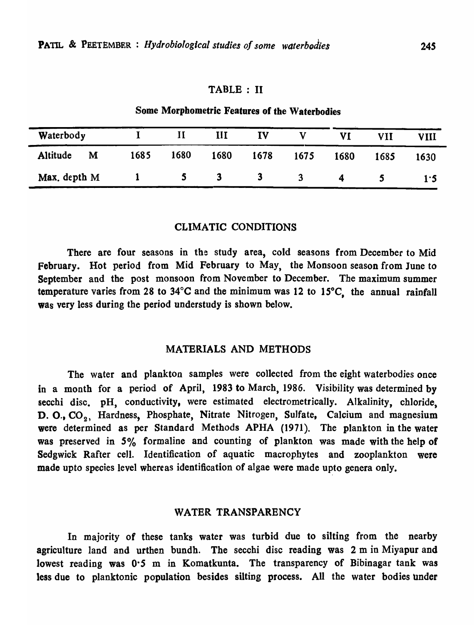## TABLE: II

# Some Morphometric Features of the Waterbodies

| Waterbody     |      |      | III  | TV   |      |      | <b>VII</b> | VIII |
|---------------|------|------|------|------|------|------|------------|------|
| Altitude<br>M | 1685 | 1680 | 1680 | 1678 | 1675 | 1680 | 1685       | 1630 |
| Max. depth M  |      |      |      |      | 3    | 4    |            | 1.5  |

## CLIMATIC CONDITIONS

There are four seasons in the study area, cold seasons from December to Mid February. Hot period from Mid February to May, the Monsoon season from June to September and the post monsoon from November to December. The maximum summer temperature varies from 28 to 34°C and the minimum was 12 to 15°C, the annual rainfall was very less during the period understudy is shown below.

### MATERIALS AND METHODS

The water and plankton samples were collected from the eight waterbodies once in a month for a period of April, 1983 to March, 1986. Visibility was determined by secchi disc. pH, conductivity, were estimated electrometrically. Alkalinity, chloride, D. O., CO<sub>2</sub>. Hardness, Phosphate, Nitrate Nitrogen, Sulfate, Calcium and magnesium were determined as per Standard Methods APHA (1971). The plankton in the water was preserved in 5% formaline and counting of plankton was made with the help of Sedgwick Rafter cell. Identification of aquatic macrophytes and zooplankton were made upto species level whereas identification of algae were made upto genera only.

# WATER TRANSPARENCY

In majority of these tanks water was turbid due to silting from the nearby agriculture land and urthen bundh. The secchi disc reading was 2 m in Miyapur and lowest reading was 0.5 m in Komatkunta. The transparency of Bibinagar tank was less due to planktonic population besides silting process. All the water bodies under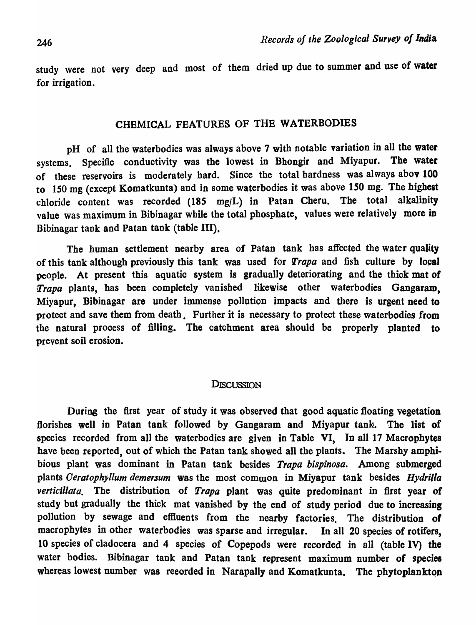study were not very deep and most of them dried up due to summer and use of water for irrigation.

# CHEMICAL FEATURES OF THE WATERBODIES

pH of all the waterbodies was always above 7 with notable variation in all the water systems. Specific conductivity was the lowest in Bhongir and Miyapur. The water of these reservoirs is moderately hard. Since the total hardness was always abov 100 to 150 mg (except Komatkunta) and in some waterbodies it was above 150 mg. The highest chloride content was recorded (185 mg/L) in Patan Cheru. The total alkalinity value was maximum in Bibinagar while the total phosphate, values were relatively more in Bibinagar tank and Patan tank (table III).

The human settlement nearby area of Patan tank has affected the water quality of this tank although previously this tank was used for *Trapa* and fish culture by local people. At present this aquatic system is gradually deteriorating and the thick mat of Trapa plants, has been completely vanished likewise other waterbodies Gangaram, Miyapur, Bibinagar are under immense pollution impacts and there is urgent need to protect and save them from death. Further it is necessary to protect these waterbodies from the natural process of filling. The catchment area should be properly planted to prevent soil erosion.

### **DISCUSSION**

During the first year of study it was observed that good aquatic floating vegetation florishes well in Patan tank followed by Gangaram and Miyapur tank. The list of species recorded from all the waterbodies are given in Table VI, In all 17 Macrophytes have been reported, out of which the Patan tank showed all the plants. The Marsby amphibious plant was dominant in Patan tank besides *Trapa bispinosa.* Among submerged plants *Ceratophyllum demersum* was the most common in Miyapur tank besides *Hydrilla*  verticillata. The distribution of *Trapa* plant was quite predominant in first year of study but gradually the thick mat vanished by the end of study period due to increasing pollution by sewage and effluents from the nearby factories. The distribution of macrophytes in other waterbodies was sparse and irregular. In all 20 species of rotifers, 10 species of cladocera and 4 species of Copepods were recorded in all (table IV) the water bodies. Bibinagar tank and Patan tank represent maximum number of species whereas lowest number was reeorded in Narapally and Komatkunta. The phytoplankton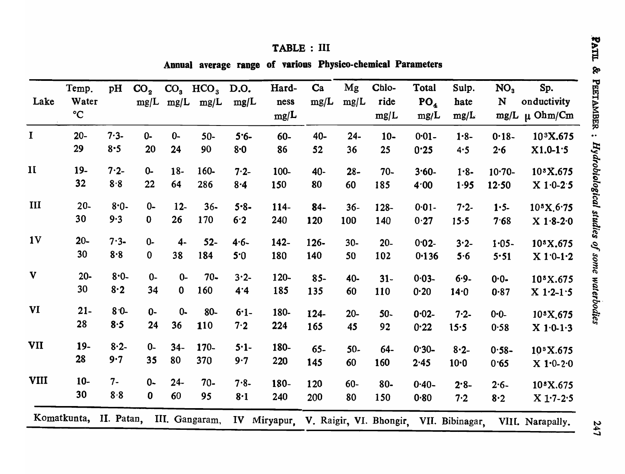|                | Temp.                  | pH      | CO <sub>2</sub> |             | $CO3$ HCO <sub>3</sub> D.O. |         | Hard-   | Ca         | Mg     | Chlo-                                | <b>Total</b>    | Sulp.           | NO <sub>3</sub> | Sp.                               |
|----------------|------------------------|---------|-----------------|-------------|-----------------------------|---------|---------|------------|--------|--------------------------------------|-----------------|-----------------|-----------------|-----------------------------------|
| Lake           | Water                  |         |                 |             | $mg/L$ mg/L mg/L            | mg/L    | ness    | mg/L       | mg/L   | ride                                 | PO <sub>4</sub> | hate            | N               | onductivity                       |
|                | $\rm ^{\circ}C$        |         |                 |             |                             |         | mg/L    |            |        | mg/L                                 | mg/L            | mg/L            | mg/L            | $\mu$ Ohm/Cm                      |
| $\mathbf I$    | $20 -$                 | $7.3 -$ | $0 -$           | $0 -$       | $50-$                       | $5.6 -$ | 60-     | 40-        | $24 -$ | $10-$                                | $0.01 -$        | $1.8 -$         | $0.18 -$        | 10 <sup>3</sup> X.675             |
|                | 29                     | $8 - 5$ | 20              | 24          | 90                          | 8·0     | 86      | 52         | 36     | 25                                   | 0.25            | 4.5             | 2.6             | $X1.0-1.5$                        |
| $\mathbf{II}$  | $19-$                  | $7.2 -$ | $0 -$           | $18-$       | 160-                        | $7.2 -$ | 100-    | 40-        | $28 -$ | $70-$                                | $3.60 -$        | $1.8 -$         | $10-70-$        | 10*X.675                          |
|                | 32                     | 8.8     | 22              | 64          | 286                         | 8.4     | 150     | 80         | 60     | 185                                  | 4.00            | 1.95            | 12.50           | $X 1.0 - 2.5$                     |
| III            | $20-$                  | $8.0 -$ | $0-$            | $12-$       | $36 -$                      | $5.8 -$ | 114-    | $84-$      | $36 -$ | 128-                                 | $0.01 -$        | $7.2 -$         | $1.5 -$         | $10^3 X.6.75$                     |
|                | 30                     | 9.3     | $\mathbf{0}$    | 26          | 170                         | 6.2     | 240     | <b>120</b> | 100    | 140                                  | 0.27            | 15.5            | 7.68            | $X 1.8 - 2.0$                     |
| 1 <sub>V</sub> | $20 -$                 | $7.3 -$ | $0 -$           | $4-$        | $52-$                       | $4.6-$  | $142 -$ | 126-       | $30-$  | $20 -$                               | $0.02 -$        | $3.2 -$         | $1.05 -$        | 10 <sup>8</sup> X.675             |
|                | 30                     | 8.8     | $\mathbf 0$     | 38          | 184                         | 5.0     | 180     | 140        | 50     | 102                                  | 0.136           | 5.6             | 5.51            | $X 1'0-1'2$                       |
| V              | $20 -$                 | $8.0 -$ | $0-$            | $0 -$       | $70 -$                      | $3.2 -$ | 120-    | $85 -$     | 40-    | $31-$                                | $0.03 -$        | $6.9-$          | $0 - 0 -$       | 10 <sup>8</sup> X.675             |
|                | 30                     | 8.2     | 34              | $\mathbf 0$ | 160                         | 4.4     | 185     | 135        | 60     | 110                                  | 0.20            | $14-0$          | 0.87            | $X 1.2 - 1.5$                     |
| VI             | $21-$                  | $8.0 -$ | $0 -$           | $0 -$       | $80-$                       | $6.1-$  | 180-    | 124-       | $20-$  | $50-$                                | $0.02 -$        | $7.2 -$         | $0 - 0 -$       | 10 <sup>s</sup> X <sub>.675</sub> |
|                | 28                     | 8.5     | 24              | 36          | 110                         | 7.2     | 224     | 165        | 45     | 92                                   | 0.22            | 15.5            | 0.58            | $X 1.0 - 1.3$                     |
| VII            | $19-$                  | $8.2-$  | $0 -$           | $34 -$      | 170-                        | $5·1-$  | 180-    | $65-$      | $50-$  | 64-                                  | $0.30 -$        | $8.2 -$         | $0.58 -$        | 10°X.675                          |
|                | 28                     | 9.7     | 35              | 80          | 370                         | 9.7     | 220     | 145        | 60     | 160                                  | 2.45            | $10-0$          | 0.65            | $X 1.0 - 2.0$                     |
| <b>VIII</b>    | $10-$                  | $7-$    | $0-$            | $24-$       | $70 -$                      | $7.8-$  | 180-    | 120        | $60 -$ | $80-$                                | $0.40 -$        | $2.8 -$         | $2.6 -$         | 10 <sup>8</sup> X.675             |
|                | 30                     | 8.8     | $\mathbf{0}$    | 60          | 95                          | 8.1     | 240     | 200        | 80     | 150                                  | 0.80            | 7.2             | 8.2             | $X 1:7-2:5$                       |
|                | Komatkunta, II. Patan, |         |                 |             | III. Gangaram,              |         |         |            |        | IV Miryapur. V. Raigir, VI. Bhongir, |                 | VII. Bibinagar. |                 | VIII. Narapally.                  |

# TABLE : III

Annual average range of various Physico-chemical Parameters

247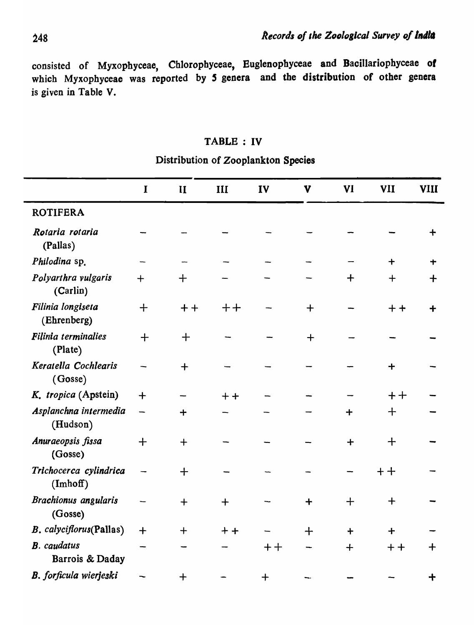consisted of Myxopbyceae, Chlorophyceae, Eugtenopbyceae and Bacillariophyceae *01*  which Myxophyceae was reported by 5 genera and the distribution of other genera is given in Table V.

#### TABLE: IV

# I II III IV V VI VII VIII **ROTIFERA** *Rotaria rotaria* + (Pallas) *Philodina* sp. + + *Polyarthra vulgaris* + + + + + (Carlin) *Filinia longiseta* +  $++$  ++  $-$  +  $-$  ++ + (Ehrenberg) *Pi/inia termillalies* + + + (Plate)  $Keratella Cochlearis$   $+$   $+$ (Gosse) *K. tropica* (Apstein)  $+$   $+$   $+$   $+$   $+$  $Asplanchna$  intermedia  $+$   $+$   $+$ (Hudson)  $\Delta$ nuraeopsis fissa  $+$   $+$   $+$   $+$ (Gosse)  $Trichocerca$  *cylindrica*  $+$   $+$   $+$ (Imhoff) *Brachionus angularis*  $+$   $+$   $+$   $+$   $+$ (Gosse) *B. calyciflorus*(Pallas) + + ++ - + + + B. caudatus – – – – + + + + + Barrois & Daday

 $B.$  *forficula wierjeski*  $\sim$   $+$   $+$   $+$ 

# Distribution of Zooplankton Species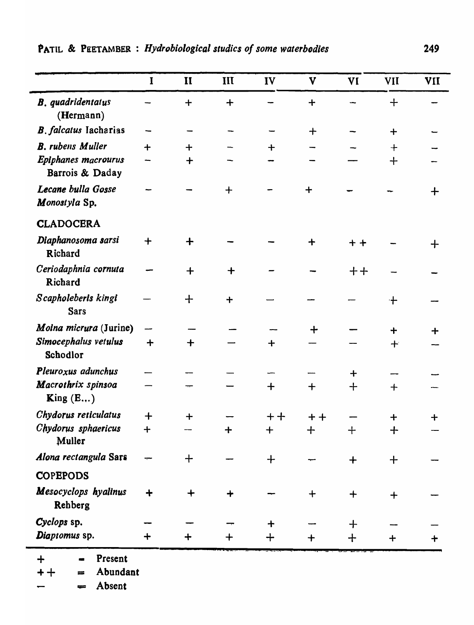|                                        | $\mathbf I$          | $\mathbf{I}$         | III      | IV          | V        | VI       | VII     | <b>VII</b> |
|----------------------------------------|----------------------|----------------------|----------|-------------|----------|----------|---------|------------|
| <b>B.</b> quadridentatus<br>(Hermann)  |                      | $\ddot{\phantom{1}}$ | $\div$   |             | $\ddag$  |          | $+$     |            |
| <b>B.</b> falcatus Iacharias           |                      |                      |          |             | $\bm{+}$ |          | $+$     |            |
| <b>B.</b> rubens Muller                | $\ddot{\phantom{1}}$ | $\ddot{}$            |          | $\bm{+}$    |          |          | $\div$  |            |
| Epiphanes macrourus<br>Barrois & Daday |                      | $\div$               |          |             |          |          | $+$     |            |
| Lecane bulla Gosse<br>Monostyla Sp.    |                      |                      | $\bm{+}$ |             | $\div$   |          |         | ╋          |
| <b>CLADOCERA</b>                       |                      |                      |          |             |          |          |         |            |
| Diaphanosoma sarsi<br>Richard          | $\mathbf +$          |                      |          |             | ╈        | $+ +$    |         | ╈          |
| Ceriodaphnia cornuta<br>Richard        |                      | $+$                  | $\bm{+}$ |             |          | キキ       |         |            |
| Scapholeberis kingi<br><b>Sars</b>     |                      | ╈                    | $\div$   |             |          |          | ╶╊╴     |            |
| Moina micrura (Jurine)                 |                      |                      |          |             | ┿        |          | $\div$  |            |
| Simocephalus vetulus<br>Schodlor       | $\div$               | $\div$               |          | $\ddag$     |          |          | $\pm$   |            |
| Pleuroxus adunchus                     |                      |                      |          |             |          | ┿        |         |            |
| Macrothrix spinsoa<br>King $(E)$       |                      |                      |          | $\mathbf +$ | $\bm{+}$ | $\bm{+}$ | $+$     |            |
| Chydorus reticulatus                   | $\div$               | $+$                  |          | $++$        | $+ +$    |          | ╈       |            |
| Chydorus sphaericus<br>Muller          | $+$                  |                      | $\div$   | $+$         | $+$      | $+$      | $+$     |            |
| Alona rectangula Sars                  |                      | $\ddag$              |          | ┿           |          | $\div$   | $\ddag$ |            |
| <b>COPEPODS</b>                        |                      |                      |          |             |          |          |         |            |
| Mesocyclops hyalinus<br>Rehberg        | ┿                    | $\bm{+}$             |          |             | $\ddag$  | $\bm{+}$ | ┿       |            |
| Cyclops sp.                            |                      |                      |          | ┿           |          | ╈        |         |            |
| Diaptomus sp.                          | ┿                    |                      |          | ┿           |          | ┿        |         |            |

 $-$  Present  $\div$ 

Abundant  $+ +$  $\equiv$ 

 $=$  Absent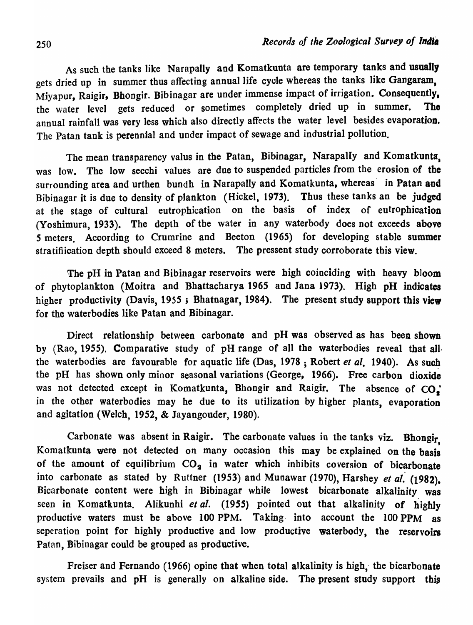As such the tanks like Narapally and Komatkunta are temporary tanks and usually gets dried up in summer thus affecting annual life cycle whereas the tanks like Gangaram, Miyapur, Raigir, Bhongir. Bibinagar are under immense impact of irrigation. Consequently. the water level gets reduced or sometimes completely dried up in summer. The annual rainfall was very less which also directly affects the water level besides evaporation. The Patan tank is perennial and under impact of sewage and industrial pollution.

The mean transparency valus in the Patan, Bibinagar, Narapally and Komatkunta, was low. The low secchi values are due to suspended particles from the erosion of the surrounding area and urthen bundh in Narapally and Komatkunta, whereas in Patan and Bibinagar it is due to density of plankton (Hickel, 1973). Thus these tanks an be judged at the stage of cultural eutrophication on the basis of index of eutrophication (Yoshimura, 1933). The depth of the water in any waterbody does not exceeds above 5 meters. According to Crumrine and Beeton (1965) for developing stable summer stratifiication depth should exceed 8 meters. The pressent study corroborate this view.

The pH in Patan and Bibinagar reservoirs were high coinciding with heavy bloom of phytoplankton (Moitra and Bhattacharya 1965 and lana 1973). High pH indicates higher productivity (Davis, 1955; Bhatnagar, 1984). The present study support this view for the waterbodies like Patan and Bibinagar.

Direct relationship between carbonate and pH was observed as has been shown by (Rao, 1955). Comparative study of pH range of all the waterbodies reveal that all. the waterbodies are favourable for aquatic life (Das, 1978; Robert *et al.* 1940). As such the pH has shown only minor seasonal variations (George, 1966). Free carbon dioxide was not detected except in Komatkunta, Bhongir and Raigir. The absence of  $CO<sub>s</sub>$ in the other waterbodies may he due to its utilization by higher plants, evaporation and agitation (Welch, 1952, & Jayangouder, 1980).

Carbonate was absent in Raigir. The carbonate values in the tanks viz. Bhongir. Komatkunta were not detected on many occasion this may be explained on the basis of the amount of equilibrium  $CO<sub>2</sub>$  in water which inhibits coversion of bicarbonate into carbonate as stated by Ruttner (1953) and Munawar (1970), Harshey *et al.* (1982). Bicarbonate content were high in Bibinagar while lowest bicarbonate alkalinity was seen in Komatkunta. Alikunhi *et al.* (1955) pointed out that alkalinity of highly productive waters must be above 100 PPM. Taking- into account the 100 PPM as seperation point for highly productive and low productive waterbody, the reservoirs Patan, Bibinagar could be grouped as productive.

Freiser and Fernando (1966) opine that when total alkalinity is high, the bicarbonate system prevails and pH is generally on alkaline side. The present study support this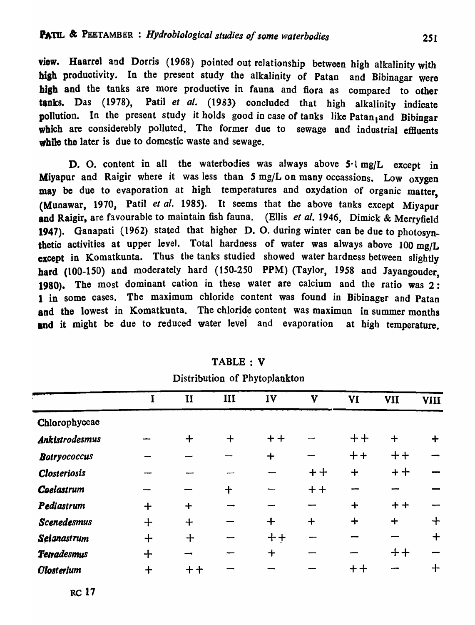view. Haarrel and Dorris (1968) pointed out relationship between high alkalinity with high productivity. In the present study the alkalinity of Patan and Bibinagar were high and the tanks are more productive in fauna and fiora as compared to other tanks. Das (1978), Patil et al. (1983) concluded that high alkalinity indicate nollution. In the present study it holds good in case of tanks like Patan and Bibingar which are considerebly polluted. The former due to sewage and industrial effluents while the later is due to domestic waste and sewage.

D. O. content in all the waterbodies was always above 5<sup>-1</sup> mg/L except in Miyapur and Raigir where it was less than  $5 \text{ mg/L}$  on many occassions. Low oxygen may be due to evaporation at high temperatures and oxydation of organic matter, (Munawar, 1970, Patil et al. 1985). It seems that the above tanks except Miyapur and Raigir, are favourable to maintain fish fauna. (Ellis *et al.* 1946, Dimick & Merryfield 1947). Ganapati (1962) stated that higher D. O. during winter can be due to photosynthetic activities at upper level. Total hardness of water was always above 100 mg/L except in Komatkunta. Thus the tanks studied showed water hardness between slightly hard (100-1S0) and moderately hard (150-250 PPM) (Taylor, 1958 and Jayangouder, 1980). The most dominant cation in these water are calcium and the ratio was 2: 1 in some cases. The maximum chloride content was found in Bibinager and Patan and the lowest in Komatkunta. The chloride content was maximun in summer months and it might be due to reduced water level and evaporation at high temperature.

|                       |     | $\mathbf{I}$ | III         | IV        | Y         | VI     | <b>VII</b> | <b>VIII</b> |
|-----------------------|-----|--------------|-------------|-----------|-----------|--------|------------|-------------|
| Chlorophyceae         |     |              |             |           |           |        |            |             |
| <b>Ankistrodesmus</b> |     | $\div$       | $+$         | $+ +$     |           | $++$   | $\ddot{+}$ |             |
| <b>Botryococcus</b>   |     |              |             | $+$       |           | $++$   | $++$       |             |
| <b>Closteriosis</b>   |     |              |             |           | $+ +$     | $\div$ | $+ +$      |             |
| Coelastrum            |     |              | $\mathbf +$ |           | $+ +$     |        |            |             |
| Pediastrum            | $+$ | $\ddag$      |             |           |           | $\div$ | $+ +$      |             |
| <b>Scenedesmus</b>    | $+$ | $+$          |             | $\div$    | $\ddot{}$ | $+$    | $+$        | ╈           |
| Selanastrum           | $+$ | $+$          |             | $+ +$     |           |        |            | $\mathbf +$ |
| Tetradesmus           | $+$ |              |             | $\ddot{}$ |           |        | $+ +$      |             |
| <b>Olosterium</b>     |     | ╈            |             |           |           | キキ     |            |             |

TABLE: V Distribution of Phytoplankton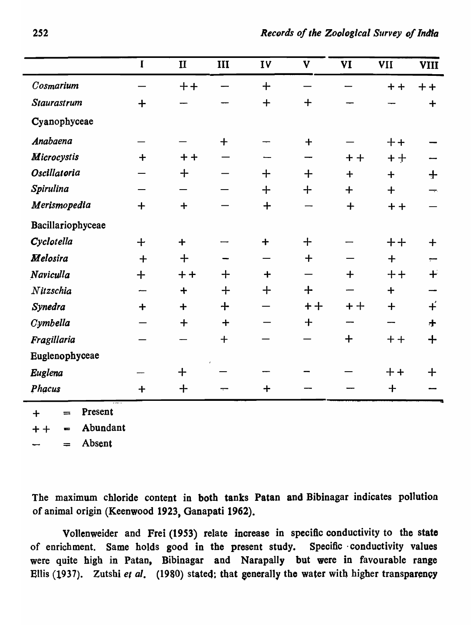|                    | $\mathbf I$ | $\mathbf{I}$         | III                 | IV                   | V        | <b>VI</b> | VII      | <b>VIII</b>      |
|--------------------|-------------|----------------------|---------------------|----------------------|----------|-----------|----------|------------------|
| Cosmarium          |             | $+ +$                |                     | $+$                  |          |           | $+ +$    | $+ +$            |
| Staurastrum        | $+$         |                      |                     | $+$                  | $+$      |           |          | $\ddot{}$        |
| Cyanophyceae       |             |                      |                     |                      |          |           |          |                  |
| Anabaena           |             |                      | $+$                 |                      | $+$      |           | $+ +$    |                  |
| <b>Microcystis</b> | $\div$      | $+ +$                |                     |                      |          | $+ +$     | $+ +$    |                  |
| Oscillatoria       |             | $+$                  |                     | $+$                  | $+$      | $+$       | $+$      | $+$              |
| Spirulina          |             |                      |                     | $+$                  | $\bm{+}$ | $+$       | $+$      |                  |
| Merismopedia       | $+$         | $\div$               |                     | $+$                  |          | $\div$    | $+ +$    |                  |
| Bacillariophyceae  |             |                      |                     |                      |          |           |          |                  |
| Cyclotella         | $+$         | $+$                  |                     | $\ddot{\phantom{1}}$ | $+$      |           | $+ +$    | $\ddag$          |
| <b>Melosira</b>    | $+$         | $+$                  |                     |                      | $+$      |           | $+$      |                  |
| Naviculla          | $+$         | $+ +$                | $+$                 | $\div$               |          | $\ddag$   | $+ +$    | $+$              |
| Nitzschia          |             | $\ddot{\phantom{1}}$ | $+$                 | $+$                  | $\div$   |           | $+$      |                  |
| Synedra            | $\div$      | $\ddot{\phantom{1}}$ | $\div$              |                      | $+ +$    | $+ +$     | $+$      | $\ddot{+}$       |
| Cymbella           |             | $+$                  | $\ddot{\mathbf{+}}$ |                      | $+$      |           |          | $\boldsymbol{+}$ |
| Fragillaria        |             |                      | $+$                 |                      |          | $+$       | $+ +$    | $+$              |
| Euglenophyceae     |             |                      |                     |                      |          |           |          |                  |
| Euglena            |             | $\div$               |                     |                      |          |           | $+ +$    | ╋                |
| Phacus             | $\div$      | $\bm{+}$             |                     | $\div$               |          |           | $\bm{+}$ |                  |

Present  $+$  $=$ 

Abundant  $+ +$  $\blacksquare$ 

Absent  $=$ 

The maximum chloride content in both tanks Patan and Bibinagar indicates pollution of animal origin (Keenwood 1923, Ganapati 1962).

Vollenweider and Frei (1953) relate increase in specific conductivity to the state of enrichment. Same holds good in the present study. Specific· conductivity values were quite high in Patan, Bibinagar and Narapally but were in favourable range Ellis (1937). Zutshi et al. (1980) stated; that generally the water with higher transparency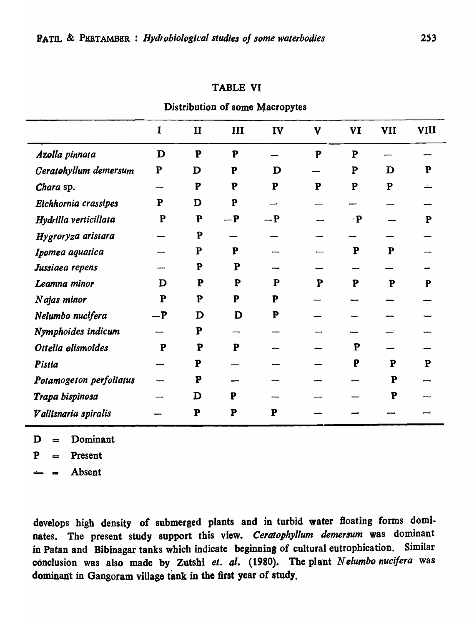# **TABLE VI**

Distribution of some Macropytes

|                         | I         | $\mathbf{I}$ | III       | IV        | $\mathbf{V}$ | <b>VI</b> | <b>VII</b> | <b>VIII</b> |
|-------------------------|-----------|--------------|-----------|-----------|--------------|-----------|------------|-------------|
| Azolla pinnata          | D         | P            | ${\bf P}$ |           | P            | ${\bf P}$ |            |             |
| Ceratohyllum demersum   | ${\bf P}$ | D            | P         | D         |              | ${\bf P}$ | D          | P           |
| Chara sp.               |           | ${\bf P}$    | P         | ${\bf P}$ | ${\bf P}$    | ${\bf P}$ | ${\bf P}$  |             |
| Eichhornia crassipes    | ${\bf P}$ | D            | P         |           |              |           |            |             |
| Hydrilla verticillata   | ${\bf P}$ | P            | $-P$      | $-P$      |              | $\cdot$ P |            | P           |
| Hygroryza aristara      |           | P            |           |           |              |           |            |             |
| Ipomea aquatica         |           | ${\bf P}$    | P         |           |              | ${\bf P}$ | ${\bf P}$  |             |
| Jussiaea repens         |           | P            | ${\bf P}$ |           |              |           |            |             |
| Leamna minor            | D         | P            | ${\bf P}$ | ${\bf P}$ | P            | ${\bf P}$ | P          | P           |
| Najas minor             | ${\bf P}$ | P            | ${\bf P}$ | P         |              |           |            |             |
| Nelumbo nucifera        | $-P$      | $\mathbf D$  | D         | P         |              |           |            |             |
| Nymphoides indicum      |           | P            |           |           |              |           |            |             |
| Ottelia olismoides      | ${\bf P}$ | P            | P         |           |              | P         |            |             |
| Pistia                  |           | ${\bf P}$    |           |           |              | P         | ${\bf P}$  | P           |
| Potamogeton perfoliatus |           | P            |           |           |              |           | ${\bf P}$  |             |
| Trapa bispinosa         |           | D            | ${\bf P}$ |           |              |           | P          |             |
| Vallisnaria spiralis    |           | P            | P         | P         |              |           |            |             |

 $D = Dominant$ 

 $P = P$ resent

Absent  $\approx$ 

develops high density of submerged plants and in turbid water floating forms dominates. The present study support this view. Ceratophyllum demersum was dominant in Patan and Bibinagar tanks which indicate beginning of cultural eutrophication. Similar conclusion was also made by Zutshi et. al. (1980). The plant Nelumbo nucifera was dominant in Gangoram village tank in the first year of study.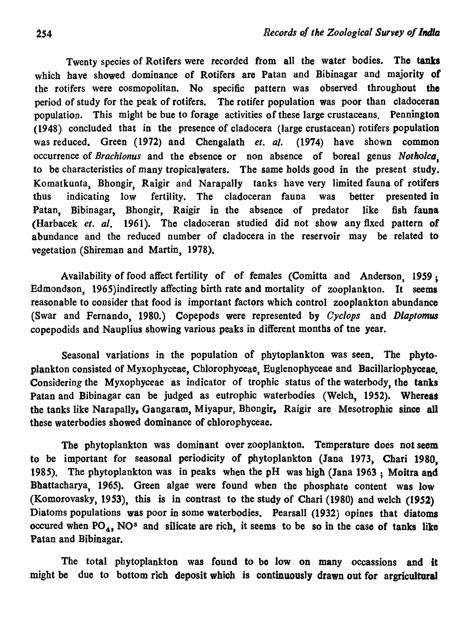Twenty species of Rotifers were recorded from all the water bodies. The tanks which have showed dominance of Rotifers are Patan and Bibinagar and majority of the rotifers were cosmopolitan. No specific pattern was observed throughout the period of study for the peak of rotifers. The rotifer population was poor than cladoceran population. This might be bue to forage activities of these large crustaceans. Pennington (1948) concluded that in the presence of cladocera (large crustacean) rotifers population was reduced. Green (1972) and Chengalath *et. al.* (1974) have shown common occurrence of *Brachionus* and the ebsence or non absence of boreal genus *NotholcQ,*  to be characteristics of many tropicalwaters. The same holds good in the present study. Komatkunta, Bhongir, Raigir and Narapally tanks have very limited fauna of rotifers thus indicating low fertility. The cladoceran fauna was better presented in Patan, Bibinagar, Bhongir, Raigir in the absence of predator like fish fauna (Harbacek *et. al.* 1961). The cladoceran studied did not show any fixed pattern of abundance and the reduced number of cladocera in the reservoir may be related to vegetation (Shireman and Martin, 1978).

Availability of food affect fertility of of females (Comitta and Anderson, 1959; Edmondson, 1965)indirectly affecting birth rate and mortality of zooplankton. It seems reasonable to consider that food is important factors which control zooplankton abundance (Swar and Fernando, 1980.) Copepods were represented by *Cyclops* and *Diaptomus* copepodids and Nauplius showing various peaks in different months of tne year.

Seasonal variations in the population of phytoplankton was seen. The phytoplankton consisted of Myxophyceae, Chlorophyceae, Euglenophyceae and Bacillariophyceae. Considering the Myxopbyceae as indicator of trophic status of the waterbody, the tanks Patan and Bibinagar can be judged as eutrophic waterbodies (Welch, 1952). Whereas the tanks like Narapally, Gangaram, Miyapur, Bhongir, Raigir are Mesotrophic since all these waterbodies showed dominance of chlorophyceae.

The phytoplankton was dominant over zooplankton. Temperature does not seem to be important for seasonal periodicity of phytoplankton (Jana 1973, Chari 1980, 1985). The phytoplankton was in peaks when the  $pH$  was high (Jana 1963; Moitra and Bhattacharya, 1965). Green algae were found when the phosphate content was low (Komorovasky, 1953), this is in contrast to the study of Chari (1980) and welch (1952) Diatoms populations was poor in some waterbodies. Pearsall (1932) opines that diatoms occured when  $PO<sub>4</sub>$ , NO<sup>s</sup> and silicate are rich, it seems to be so in the case of tanks like Patan and Bibinagar.

The total phytoplankton was found to be low on many occassions and it might be due to bottom rich deposit which is continuously drawn out for argricultural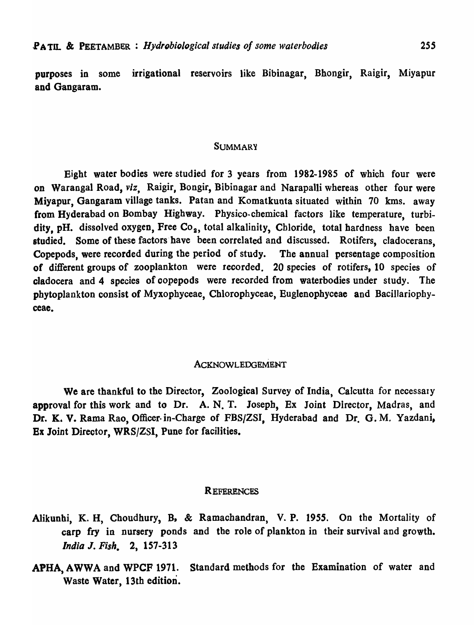purposes in some irrigational reservoirs like Bibinagar, Bhongir, Raigir, Miyapur and Gangaram.

#### **SUMMARY**

Eight water bodies were studied for 3 years from 1982-1985 of which four were on Warangal Road, *viz,* Raigir, Bongir, Bibinagar and Narapalli whereas other four were Miyapur, Gangaram village tanks. Patan and Komatkunta situated within 70 kms. away from Hyderabad on Bombay Highway. Physico-chemical factors like temperature, turbidity, pH. dissolved oxygen, Free Co<sub>2</sub>, total alkalinity, Chloride, total hardness have been studied. Some of these factors have been correlated and discussed. Rotifers, cladocerans, Copepods, were recorded during the period of study. The annual persentage composition of different groups of zooplankton were recorded. 20 species of rotifers, 10 species of cladocera and 4 species of oopepods were recorded from waterbodies under study. The phytoplankton consist of Myxophyceae, Chlorophyceae, Euglenophyceae and Bacillariophyceae.

#### ACKNOWLEDGEMENT

We are thankful to the Director, Zoological Survey of India, Calcutta for necessary approval for this work and to Dr. A. N. T. Joseph, Ex Joint Director, Madras, and Dr. K. V. Rama Rao, Officer-in-Charge of FBS/ZSI, Hyderabad and Dr. G. M. Yazdani, Ex Joint Director, WRS/ZSI, Pune for facilities.

#### **REFERENCES**

- Alikunhi, K. H, Choudhury, B, & Ramachandran, V. P. 1955. On the Mortality of carp fry in nursery ponds and the role of plankton in their survival and growth. *India* J. *Fish.* 2, 157-313
- APHA, A WWA and WPCF 1971. Standard methods for the Examination of water and Waste Water, 13th edition.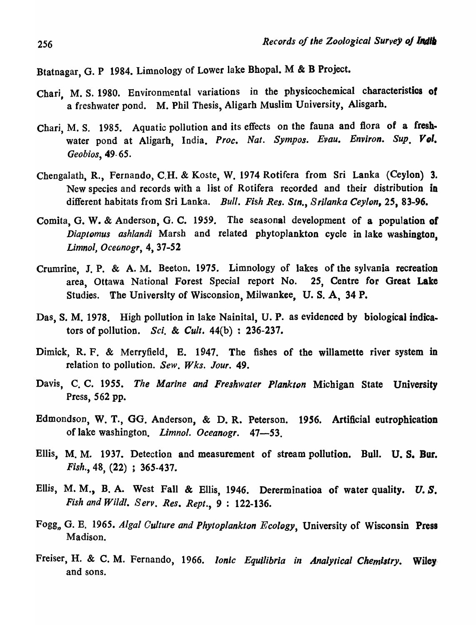Btatnagar, G. P 1984. Limnology of Lower lake Bhopal. M & B Project.

- Chari, M. S. 1980. Environmental variations in the physicochemical characteristics of a freshwater pond. M. Phil Thesis, Aligarh Muslim University, Alisgarh.
- Chari, M. S. 1985. Aquatic pollution and its effects on the fauna and flora of a freshwater pond at Aligarh, India. Proc. Nat. Sympos. Evau. Environ. Sup. Vol. *Geobios,* 49- *6S.*
- Chengalath, R., Fernando, C.H. & Koste, W. 1974 Rotifera from Sri Lanka (Ceylon) 3. New species and records with a Jist of Rotifera recorded and their distribution in different habitats from Sri Lanka. *Bull. Fish Res. Stn.*, Srilanka Ceylon, 25, 83-96.
- Comita, G. W. & Anderson, G. C. 1959. The seasonal development of a population of *Diaptomus ashlandi* Marsh and related phytoplankton cycle in lake washington. *Limnol, Oceanogr,* 4, 37-52
- Crumrine, J. P. & A. M. Beeton. 1975. Limnology of lakes of the sylvania recreation area, Ottawa National Forest Special report No. 25, Centre for Great Lake Studies. The University of Wisconsion, Milwankee, U. S. A, 34 P.
- Das, S. M. 1978. High pollution in lake Nainital, U. P. as evidenced by biological indicators of pollution. *Sci.* & *Cult.* 44(b) : 236-237.
- Dimick, R. F. & Merryfield, B. 1947. The fishes of the willamette river system in relation to pollution. *Sew. Wks. Jour. 49.*
- Davis, C. C. 1955. *The Marine and Freshwater Plankton* Michigan State University Press, 562 pp.
- Edmondson, W. T., GG. Anderson, & D. R. Peterson. 1956. Artificial eutrophication of lake washington. *Limnol. Oceanogr. 47-53.*
- Ellis, M. M. 1937. Detection and measurement of stream pollution. Bull. U. S. Bur. *Fish.,* 48, (22) ; 365-437.
- Ellis, M. M., B. A. West Fall & Ellis, 1946. Dererminatioa of water quality. U. *s. Fish and Wildl. Serv. Res. Rept.*, 9: 122-136.
- Fogg, G. E. 1965. *Algal Culture and Phytoplankton Ecology*, University of Wisconsin Press Madison.
- Freiser, H. & C. M. Fernando, 1966. *Ionic Equilibria in AnaIYlical Chemistry.* Wiley. and sons.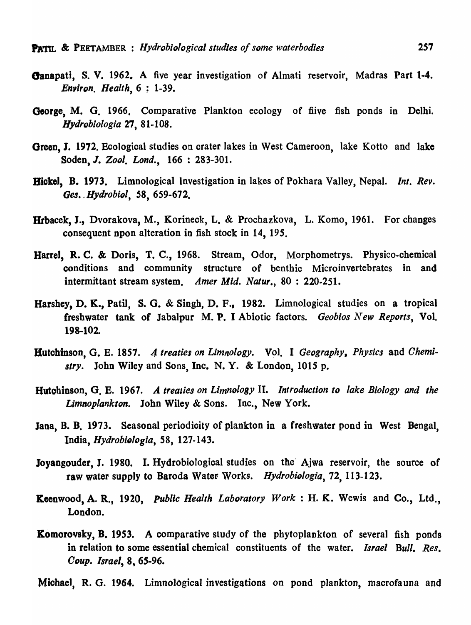- Oanapati, S. V. 1962. A five year investigation of Almati reservoir, Madras Part 1-4. *Environ. Health,* 6 ; 1-39.
- George, M. G. 1966. Comparative Plankton ecology of fiive fish ponds in Delhi. *Hydroblologia* 27, 81-108.
- Green, J. 1972. Ecological studies on crater lakes in West Cameroon, lake Kotto and lake Soden, J. *Zool. Lond.,* 166: 283-301.
- Bickel, B. 1973. Limnological Investigation in lakes of Pokhara Valley, Nepal. *Int. Rev. Ges. ,Hydrobiol,* 58, 659-672.
- Hrbacek, J., Dvorakova, M., Korineck, L. & Prochazkova, L. Komo, 1961. For changes consequent npon alteration in fish stock in 14, *19S.*
- Harrel, R. C. & Doris, T. C., 1968. Stream, Odor, Morphometrys. Physico-chemical conditions and community structure of benthic Microinvertebrates in and intermittant stream system. *'Amer* Mid. *Natur.,* 80 : 220.251.
- Harshey, D. K., Patil, S. G. & Singh, D. F., 1982. Limnological studies on a tropical freshwater tank of Jabalpur M. P. I Abiotic factors. *Geobios New Reports,* Vol. 198-102.
- Hutchinson, G. E. 1857. A treaties on Limnology. Vol. I Geography, Physics and Chemi*stry.* John Wiley and Sons, Inc. N. Y. & London, 1015 p.
- Hutohinson, G. E. 1967. *A treaties on Limnology* II. *Introduction to lake Biology and the Limnoplankton.* John Wiley & Sons. Inc., New York.
- Jana, B. B. 1973. Seasonal periodicity of plankton in a freshwater pond in West Bengal, India, *HydrobiQ/ogia,* 58, 127-143.
- Joyangouder, J. 1980. I. Hydrobiological studies on the' Ajwa reservoir, the source of raw water supply to Baroda Water- Works. *Hydrobiologia,* 72, 113-123.
- **Keenwood, A. R., 1920,** *Public Health Laboratory Work***: H. K. Wewis and Co., Ltd.,** London.
- **Komorovsky, B. 1953.** A comparative study of the phytoplankton of several fish ponds in relation to some essential chemical constituents of the water. *Israel Bull. Res.*  ODUp. *Israel,* 8, 65-96.

Michael, R. G. 1964. Limnological investigations on pond plankton, macrofauna and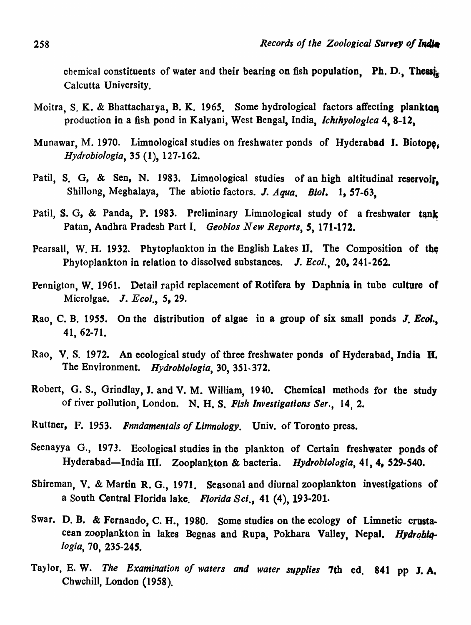chemical constituents of water and their bearing on fish population. Ph. D., Thessi<sub>n</sub> Calcutta University.

- Moitra, S. K. & Bhattacharya, B. K. 1965. Some hydrological factors affecting plankton production in a fish pond in Kalyani, West Bengal, India, *Ichthyologica* 4, 8-12,
- Munawar, M. 1970. Limnological studies on freshwater ponds of Hyderabad I. Biotope. *Hydrobi%gia,* 35 (1), 127-162.
- Patil, S. G. & Sen, N. 1983. Limnological studies of an high altitudinal reservoir. Shillong, Megbalaya, The abiotic factors. J. *Aqua. Bioi.* 1, *S7-63,*
- Patil, S. G, & Panda, P. 1983. Preliminary Limnological study of a freshwater tank Patan, Andhra Pradesh Part I. *Geobios New Reports*, 5, 171-172.
- Pearsall, W. H. 1932. Phytoplankton in the English Lakes II. The Composition of the Phytoplankton in relation to dissolved substances. J. *Ecol.*, 20, 241-262.
- Pennigton, W. 1961. Detail rapid replacement of Rotifera by Daphnia in tube culture of Microlgae.  $J. Ecol.$  5, 29.
- Rao, C. B. 1955. On the distribution of algae in a group of six small ponds J. Ecol., 41, 62-71.
- Rao, V. S. 1972. An ecological study of three freshwater ponds of Hyderabad, India II. The Environment. *Hydrobiologia,* 30, 351-372.
- Robert, G. S., Grindlay, J. and V. M. William, 1940. Chemical methods for the study of river pollution, London. N. H. S. Fish Investigations Ser., 14, 2.
- Ruttner, F. 1953. *Fnndamentals of Limnology.* Univ. of Toronto press.
- Seenayya G., 1973. Ecological studies in the plankton of Certain freshwater ponds of Hyderabad-India III. Zooplankton & bacteria. *Hydrobiologia*, 41, 4, 529-540.
- Shireman, V. & Martin R. G., 1971. Seasonal and diurnal zooplankton investigations of a South Central Florida lake. *Florida Sci.,* 41 (4), 193-201.
- Swar. D. B. & Fernando, C. H., 1980. Some studies on the ecology of Limnetic crustacean zooplankton in lakes Begnas and Rupa, Pokhara Valley, Nepal. Hydrobia-IOgia, 70, 235-245.
- Taylor, E. W. *The Examination of waters and water supplies* 7th ed. 841 pp J. A, Chwchill, London (1958).